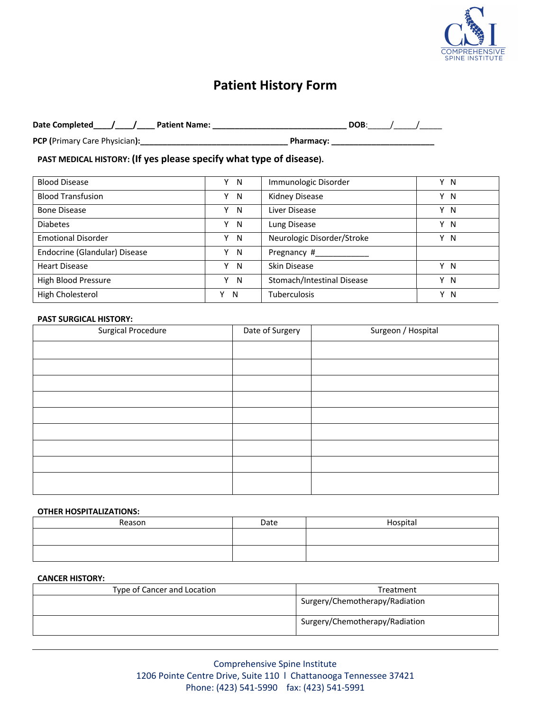

# **Patient History Form**

| Date Completed<br><b>Patient Name:</b> | <b>DOB</b>       |  |
|----------------------------------------|------------------|--|
| <b>PCP (Primary Care Physician):</b>   | <b>Pharmacy:</b> |  |

# **PAST MEDICAL HISTORY: (If yes please specify what type of disease).**

| <b>Blood Disease</b>          | Y N | Immunologic Disorder       | Y N |
|-------------------------------|-----|----------------------------|-----|
| <b>Blood Transfusion</b>      | Y N | Kidney Disease             | Y N |
| <b>Bone Disease</b>           | Y N | Liver Disease              | Y N |
| <b>Diabetes</b>               | Y N | Lung Disease               | Y N |
| <b>Emotional Disorder</b>     | Y N | Neurologic Disorder/Stroke | Y N |
| Endocrine (Glandular) Disease | Y N | Pregnancy #                |     |
| <b>Heart Disease</b>          | Y N | Skin Disease               | Y N |
| High Blood Pressure           | Y N | Stomach/Intestinal Disease | Y N |
| High Cholesterol              | N   | <b>Tuberculosis</b>        | Y N |

#### **PAST SURGICAL HISTORY:**

| <b>Surgical Procedure</b> | Date of Surgery | Surgeon / Hospital |
|---------------------------|-----------------|--------------------|
|                           |                 |                    |
|                           |                 |                    |
|                           |                 |                    |
|                           |                 |                    |
|                           |                 |                    |
|                           |                 |                    |
|                           |                 |                    |
|                           |                 |                    |
|                           |                 |                    |

#### **OTHER HOSPITALIZATIONS:**

| Reason | Date | Hospital |
|--------|------|----------|
|        |      |          |
|        |      |          |

#### **CANCER HISTORY:**

| Type of Cancer and Location | Treatment                      |
|-----------------------------|--------------------------------|
|                             | Surgery/Chemotherapy/Radiation |
|                             | Surgery/Chemotherapy/Radiation |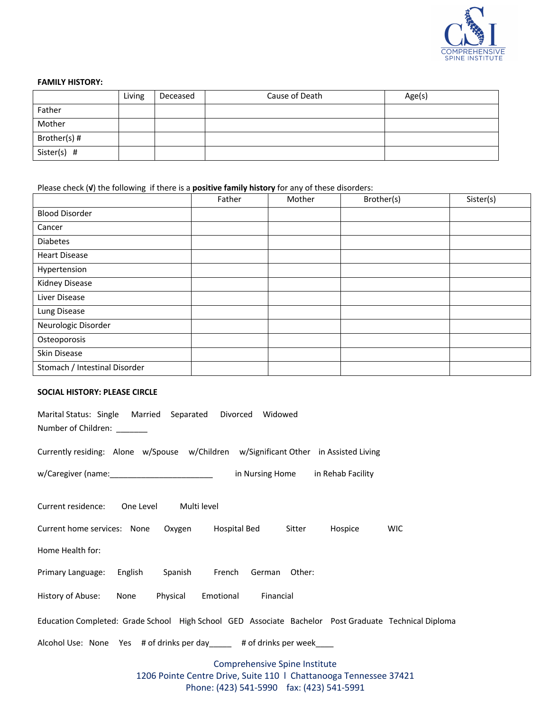

### **FAMILY HISTORY:**

|               | Living | Deceased | Cause of Death | Age(s) |
|---------------|--------|----------|----------------|--------|
| Father        |        |          |                |        |
| Mother        |        |          |                |        |
| Brother(s) #  |        |          |                |        |
| Sister(s) $#$ |        |          |                |        |

Please check (**√**) the following if there is a **positive family history** for any of these disorders:

|                               | Father | Mother | Brother(s) | Sister(s) |
|-------------------------------|--------|--------|------------|-----------|
| <b>Blood Disorder</b>         |        |        |            |           |
| Cancer                        |        |        |            |           |
| <b>Diabetes</b>               |        |        |            |           |
| <b>Heart Disease</b>          |        |        |            |           |
| Hypertension                  |        |        |            |           |
| Kidney Disease                |        |        |            |           |
| Liver Disease                 |        |        |            |           |
| Lung Disease                  |        |        |            |           |
| Neurologic Disorder           |        |        |            |           |
| Osteoporosis                  |        |        |            |           |
| Skin Disease                  |        |        |            |           |
| Stomach / Intestinal Disorder |        |        |            |           |

## **SOCIAL HISTORY: PLEASE CIRCLE**

| Marital Status: Single Married Separated Divorced Widowed<br>Number of Children: _______             |                                                                                                    |            |
|------------------------------------------------------------------------------------------------------|----------------------------------------------------------------------------------------------------|------------|
| Currently residing: Alone w/Spouse w/Children w/Significant Other in Assisted Living                 |                                                                                                    |            |
| w/Caregiver (name: 1992) win Nursing Home in Rehab Facility                                          |                                                                                                    |            |
| Current residence: One Level Multi level                                                             |                                                                                                    |            |
| Current home services: None Oxygen Hospital Bed Sitter Hospice                                       |                                                                                                    | <b>WIC</b> |
| Home Health for:                                                                                     |                                                                                                    |            |
| Primary Language: English Spanish French German Other:                                               |                                                                                                    |            |
| History of Abuse: None Physical Emotional Financial                                                  |                                                                                                    |            |
| Education Completed: Grade School High School GED Associate Bachelor Post Graduate Technical Diploma |                                                                                                    |            |
| Alcohol Use: None Yes # of drinks per day ______ # of drinks per week____                            |                                                                                                    |            |
|                                                                                                      | Comprehensive Spine Institute<br>1206 Pointe Centre Drive, Suite 110   Chattanooga Tennessee 37421 |            |

Phone: (423) 541-5990 fax: (423) 541-5991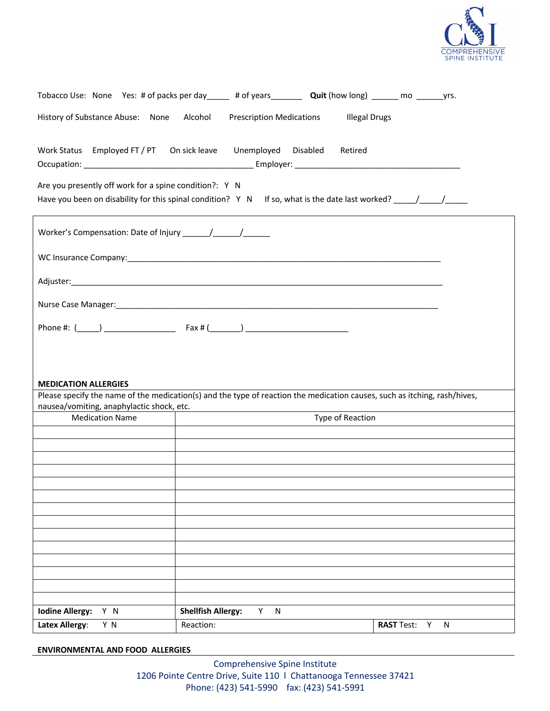

| Tobacco Use: None Yes: # of packs per day _____ # of years ________ Quit (how long) ______ mo _______ yrs.                                                             |                                                    |                      |                |
|------------------------------------------------------------------------------------------------------------------------------------------------------------------------|----------------------------------------------------|----------------------|----------------|
| History of Substance Abuse: None Alcohol                                                                                                                               | <b>Prescription Medications</b>                    | <b>Illegal Drugs</b> |                |
|                                                                                                                                                                        |                                                    |                      |                |
| Work Status Employed FT / PT On sick leave                                                                                                                             | Unemployed Disabled                                | Retired              |                |
|                                                                                                                                                                        |                                                    |                      |                |
| Are you presently off work for a spine condition?: Y N                                                                                                                 |                                                    |                      |                |
|                                                                                                                                                                        |                                                    |                      |                |
|                                                                                                                                                                        |                                                    |                      |                |
|                                                                                                                                                                        |                                                    |                      |                |
|                                                                                                                                                                        |                                                    |                      |                |
|                                                                                                                                                                        |                                                    |                      |                |
|                                                                                                                                                                        |                                                    |                      |                |
|                                                                                                                                                                        |                                                    |                      |                |
|                                                                                                                                                                        |                                                    |                      |                |
|                                                                                                                                                                        |                                                    |                      |                |
|                                                                                                                                                                        |                                                    |                      |                |
| <b>MEDICATION ALLERGIES</b>                                                                                                                                            |                                                    |                      |                |
| Please specify the name of the medication(s) and the type of reaction the medication causes, such as itching, rash/hives,<br>nausea/vomiting, anaphylactic shock, etc. | <u> 1989 - John Stone, Amerikaansk politiker (</u> |                      |                |
| <b>Medication Name</b>                                                                                                                                                 |                                                    | Type of Reaction     |                |
|                                                                                                                                                                        |                                                    |                      |                |
|                                                                                                                                                                        |                                                    |                      |                |
|                                                                                                                                                                        |                                                    |                      |                |
|                                                                                                                                                                        |                                                    |                      |                |
|                                                                                                                                                                        |                                                    |                      |                |
|                                                                                                                                                                        |                                                    |                      |                |
|                                                                                                                                                                        |                                                    |                      |                |
|                                                                                                                                                                        |                                                    |                      |                |
|                                                                                                                                                                        |                                                    |                      |                |
|                                                                                                                                                                        |                                                    |                      |                |
|                                                                                                                                                                        |                                                    |                      |                |
|                                                                                                                                                                        |                                                    |                      |                |
| <b>Iodine Allergy:</b><br>Y N                                                                                                                                          | <b>Shellfish Allergy:</b><br>Y.<br>N               |                      |                |
| <b>Latex Allergy:</b><br>Y N                                                                                                                                           | Reaction:                                          |                      | RAST Test: Y N |

**ENVIRONMENTAL AND FOOD ALLERGIES**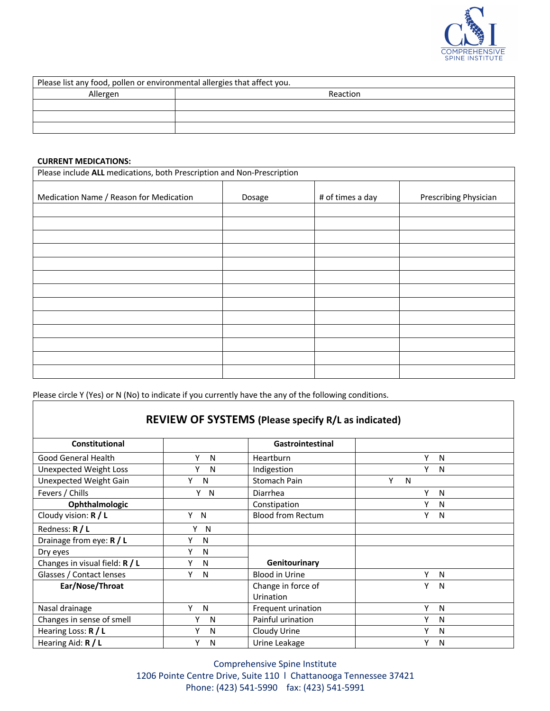

| Please list any food, pollen or environmental allergies that affect you. |          |
|--------------------------------------------------------------------------|----------|
| Allergen                                                                 | Reaction |
|                                                                          |          |
|                                                                          |          |
|                                                                          |          |

#### **CURRENT MEDICATIONS:**

| Please include ALL medications, both Prescription and Non-Prescription |        |                  |                       |  |
|------------------------------------------------------------------------|--------|------------------|-----------------------|--|
| Medication Name / Reason for Medication                                | Dosage | # of times a day | Prescribing Physician |  |
|                                                                        |        |                  |                       |  |
|                                                                        |        |                  |                       |  |
|                                                                        |        |                  |                       |  |
|                                                                        |        |                  |                       |  |
|                                                                        |        |                  |                       |  |
|                                                                        |        |                  |                       |  |
|                                                                        |        |                  |                       |  |
|                                                                        |        |                  |                       |  |
|                                                                        |        |                  |                       |  |
|                                                                        |        |                  |                       |  |
|                                                                        |        |                  |                       |  |
|                                                                        |        |                  |                       |  |
|                                                                        |        |                  |                       |  |

Please circle Y (Yes) or N (No) to indicate if you currently have the any of the following conditions.

|                                  |        | REVIEW OF SYSTEMS (Please specify R/L as indicated) |                   |  |
|----------------------------------|--------|-----------------------------------------------------|-------------------|--|
| <b>Constitutional</b>            |        | <b>Gastrointestinal</b>                             |                   |  |
| Good General Health              | Υ<br>N | <b>Heartburn</b>                                    | Υ<br>N            |  |
| <b>Unexpected Weight Loss</b>    | Y<br>N | Indigestion                                         | Y<br>$\mathsf{N}$ |  |
| Unexpected Weight Gain           | Υ<br>N | Stomach Pain                                        | Υ<br>N            |  |
| Fevers / Chills                  | Y N    | Diarrhea                                            | Υ<br>N            |  |
| Ophthalmologic                   |        | Constipation                                        | N                 |  |
| Cloudy vision: $R / L$           | Y<br>N | <b>Blood from Rectum</b>                            | γ<br>N            |  |
| Redness: R / L                   | Υ<br>N |                                                     |                   |  |
| Drainage from eye: R / L         | γ<br>N |                                                     |                   |  |
| Dry eyes                         | Y<br>N |                                                     |                   |  |
| Changes in visual field: $R / L$ | Υ<br>N | Genitourinary                                       |                   |  |
| Glasses / Contact lenses         | Y<br>N | <b>Blood in Urine</b>                               | ٧<br>N            |  |
| Ear/Nose/Throat                  |        | Change in force of<br>Urination                     | γ<br>N            |  |
| Nasal drainage                   | Y<br>N | Frequent urination                                  | Υ<br>N            |  |
| Changes in sense of smell        | Υ<br>N | Painful urination                                   | Υ<br>N            |  |
|                                  | N      |                                                     | N                 |  |
| Hearing Loss: R / L              | γ      | Cloudy Urine                                        | Y                 |  |
| Hearing Aid: R / L               | N      | Urine Leakage                                       | N                 |  |

Comprehensive Spine Institute 1206 Pointe Centre Drive, Suite 110 l Chattanooga Tennessee 37421 Phone: (423) 541-5990 fax: (423) 541-5991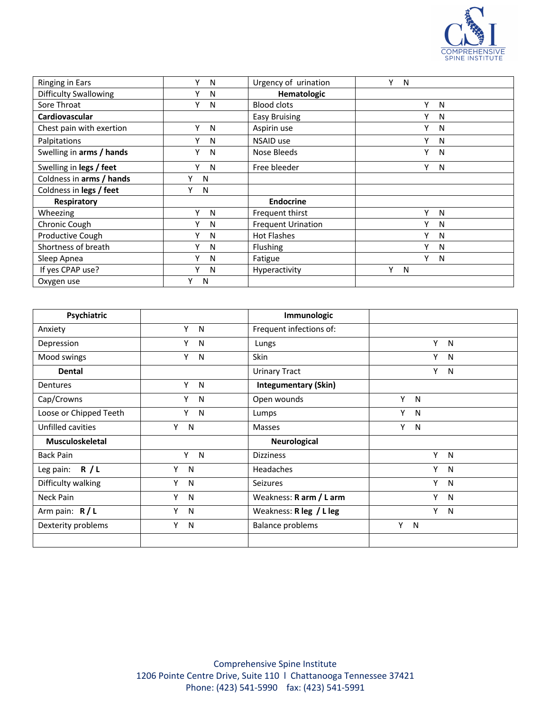

| <b>Ringing in Ears</b>       | v<br>N | Urgency of urination      | v<br>N |
|------------------------------|--------|---------------------------|--------|
| <b>Difficulty Swallowing</b> | v<br>N | Hematologic               |        |
| Sore Throat                  | ۷<br>N | <b>Blood clots</b>        | v<br>N |
| Cardiovascular               |        | <b>Easy Bruising</b>      | v<br>N |
| Chest pain with exertion     | ۷<br>N | Aspirin use               | v<br>N |
| Palpitations                 | ۷<br>N | NSAID use                 | v<br>N |
| Swelling in arms / hands     | ۷<br>N | Nose Bleeds               | v<br>N |
| Swelling in legs / feet      | ۷<br>N | Free bleeder              | ٧<br>N |
| Coldness in arms / hands     | v<br>N |                           |        |
| Coldness in legs / feet      | v<br>N |                           |        |
| Respiratory                  |        | <b>Endocrine</b>          |        |
| Wheezing                     | ۷<br>N | Frequent thirst           | v<br>N |
| Chronic Cough                | ۷<br>N | <b>Frequent Urination</b> | v<br>N |
| <b>Productive Cough</b>      | ۷<br>N | <b>Hot Flashes</b>        | v<br>N |
| Shortness of breath          | ۷<br>N | Flushing                  | v<br>N |
| Sleep Apnea                  | v<br>N | Fatigue                   | v<br>N |
| If yes CPAP use?             | v<br>N | Hyperactivity             | ٧<br>N |
| Oxygen use                   | N      |                           |        |

| Psychiatric            |                   | Immunologic                 |                   |
|------------------------|-------------------|-----------------------------|-------------------|
| Anxiety                | Y<br>N            | Frequent infections of:     |                   |
| Depression             | Υ<br>N            | Lungs                       | Y<br>N            |
| Mood swings            | Υ<br>N            | <b>Skin</b>                 | Y<br>N            |
| <b>Dental</b>          |                   | <b>Urinary Tract</b>        | Y<br>$\mathsf{N}$ |
| Dentures               | Y<br>N            | <b>Integumentary (Skin)</b> |                   |
| Cap/Crowns             | Υ<br>N            | Open wounds                 | Y<br>N            |
| Loose or Chipped Teeth | Y<br>N            | Lumps                       | Y<br>N            |
| Unfilled cavities      | Υ<br>N            | Masses                      | Y<br>N            |
| <b>Musculoskeletal</b> |                   | Neurological                |                   |
| <b>Back Pain</b>       | Y.<br>N           | <b>Dizziness</b>            | Y<br>N            |
| Leg pain: $R / L$      | Y<br>N            | <b>Headaches</b>            | Y<br>$\mathsf{N}$ |
| Difficulty walking     | Υ<br>N            | <b>Seizures</b>             | Y<br>N            |
| Neck Pain              | Υ<br>N            | Weakness: R arm / L arm     | Υ<br>N            |
| Arm pain: $R/L$        | Υ<br>N            | Weakness: R leg / L leg     | Y<br>N            |
| Dexterity problems     | Y<br>$\mathsf{N}$ | <b>Balance problems</b>     | Y N               |
|                        |                   |                             |                   |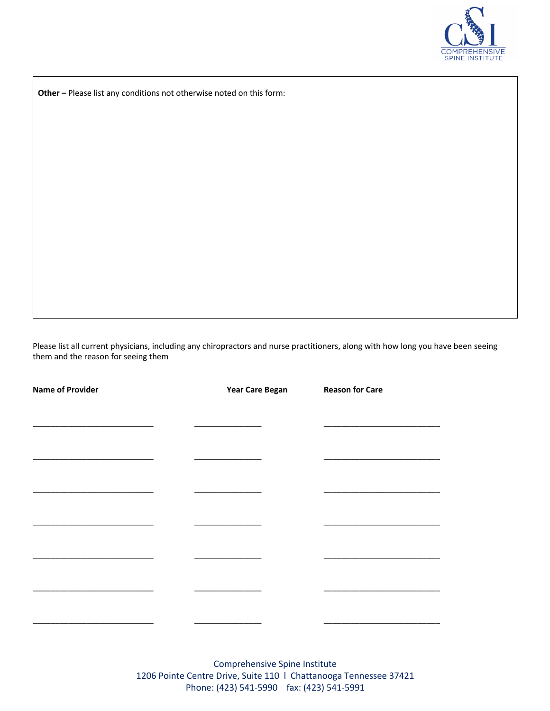

**Other –** Please list any conditions not otherwise noted on this form:

Please list all current physicians, including any chiropractors and nurse practitioners, along with how long you have been seeing them and the reason for seeing them

| <b>Name of Provider</b> | <b>Year Care Began</b> | <b>Reason for Care</b> |
|-------------------------|------------------------|------------------------|
|                         |                        |                        |
|                         |                        |                        |
|                         |                        |                        |
|                         |                        |                        |
|                         |                        |                        |
|                         |                        |                        |
|                         |                        |                        |
|                         |                        |                        |
|                         |                        |                        |
|                         |                        |                        |
|                         |                        |                        |
|                         |                        |                        |
|                         |                        |                        |
|                         |                        |                        |
|                         |                        |                        |

Comprehensive Spine Institute 1206 Pointe Centre Drive, Suite 110 l Chattanooga Tennessee 37421 Phone: (423) 541-5990 fax: (423) 541-5991